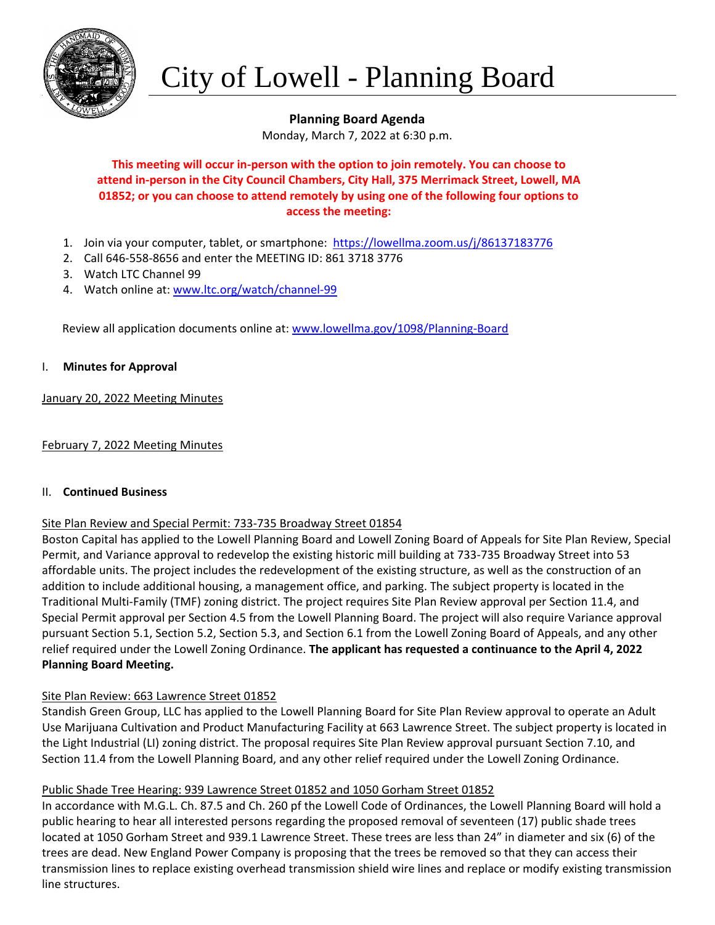

# City of Lowell - Planning Board

# **Planning Board Agenda**

Monday, March 7, 2022 at 6:30 p.m.

# **This meeting will occur in-person with the option to join remotely. You can choose to attend in-person in the City Council Chambers, City Hall, 375 Merrimack Street, Lowell, MA 01852; or you can choose to attend remotely by using one of the following four options to access the meeting:**

- 1. Join via your computer, tablet, or smartphone: <https://lowellma.zoom.us/j/86137183776>
- 2. Call 646-558-8656 and enter the MEETING ID: 861 3718 3776
- 3. Watch LTC Channel 99
- 4. Watch online at: [www.ltc.org/watch/channel-99](http://www.ltc.org/watch/channel-99)

Review all application documents online at: [www.lowellma.gov/1098/Planning-Board](http://www.lowellma.gov/1098/Planning-Board)

## I. **Minutes for Approval**

January 20, 2022 Meeting Minutes

February 7, 2022 Meeting Minutes

#### II. **Continued Business**

## Site Plan Review and Special Permit: 733-735 Broadway Street 01854

Boston Capital has applied to the Lowell Planning Board and Lowell Zoning Board of Appeals for Site Plan Review, Special Permit, and Variance approval to redevelop the existing historic mill building at 733-735 Broadway Street into 53 affordable units. The project includes the redevelopment of the existing structure, as well as the construction of an addition to include additional housing, a management office, and parking. The subject property is located in the Traditional Multi-Family (TMF) zoning district. The project requires Site Plan Review approval per Section 11.4, and Special Permit approval per Section 4.5 from the Lowell Planning Board. The project will also require Variance approval pursuant Section 5.1, Section 5.2, Section 5.3, and Section 6.1 from the Lowell Zoning Board of Appeals, and any other relief required under the Lowell Zoning Ordinance. **The applicant has requested a continuance to the April 4, 2022 Planning Board Meeting.**

## Site Plan Review: 663 Lawrence Street 01852

Standish Green Group, LLC has applied to the Lowell Planning Board for Site Plan Review approval to operate an Adult Use Marijuana Cultivation and Product Manufacturing Facility at 663 Lawrence Street. The subject property is located in the Light Industrial (LI) zoning district. The proposal requires Site Plan Review approval pursuant Section 7.10, and Section 11.4 from the Lowell Planning Board, and any other relief required under the Lowell Zoning Ordinance.

## Public Shade Tree Hearing: 939 Lawrence Street 01852 and 1050 Gorham Street 01852

In accordance with M.G.L. Ch. 87.5 and Ch. 260 pf the Lowell Code of Ordinances, the Lowell Planning Board will hold a public hearing to hear all interested persons regarding the proposed removal of seventeen (17) public shade trees located at 1050 Gorham Street and 939.1 Lawrence Street. These trees are less than 24" in diameter and six (6) of the trees are dead. New England Power Company is proposing that the trees be removed so that they can access their transmission lines to replace existing overhead transmission shield wire lines and replace or modify existing transmission line structures.